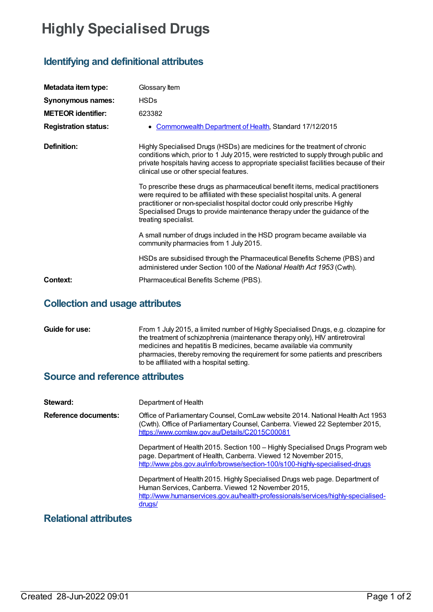# **Highly Specialised Drugs**

## **Identifying and definitional attributes**

| Metadata item type:         | Glossary Item                                                                                                                                                                                                                                                                                                                                         |
|-----------------------------|-------------------------------------------------------------------------------------------------------------------------------------------------------------------------------------------------------------------------------------------------------------------------------------------------------------------------------------------------------|
| <b>Synonymous names:</b>    | <b>HSDs</b>                                                                                                                                                                                                                                                                                                                                           |
| <b>METEOR identifier:</b>   | 623382                                                                                                                                                                                                                                                                                                                                                |
| <b>Registration status:</b> | Commonwealth Department of Health, Standard 17/12/2015<br>$\bullet$                                                                                                                                                                                                                                                                                   |
| Definition:                 | Highly Specialised Drugs (HSDs) are medicines for the treatment of chronic<br>conditions which, prior to 1 July 2015, were restricted to supply through public and<br>private hospitals having access to appropriate specialist facilities because of their<br>clinical use or other special features.                                                |
|                             | To prescribe these drugs as pharmaceutical benefit items, medical practitioners<br>were required to be affiliated with these specialist hospital units. A general<br>practitioner or non-specialist hospital doctor could only prescribe Highly<br>Specialised Drugs to provide maintenance therapy under the guidance of the<br>treating specialist. |
|                             | A small number of drugs included in the HSD program became available via<br>community pharmacies from 1 July 2015.                                                                                                                                                                                                                                    |
|                             | HSDs are subsidised through the Pharmaceutical Benefits Scheme (PBS) and<br>administered under Section 100 of the National Health Act 1953 (Cwth).                                                                                                                                                                                                    |
| Context:                    | Pharmaceutical Benefits Scheme (PBS).                                                                                                                                                                                                                                                                                                                 |

### **Collection and usage attributes**

**Guide for use:** From 1 July 2015, a limited number of Highly Specialised Drugs, e.g. clozapine for the treatment of schizophrenia (maintenance therapy only), HIV antiretroviral medicines and hepatitis B medicines, became available via community pharmacies, thereby removing the requirement for some patients and prescribers to be affiliated with a hospital setting.

#### **Source and reference attributes**

| Steward:                    | Department of Health                                                                                                                                                                                                             |
|-----------------------------|----------------------------------------------------------------------------------------------------------------------------------------------------------------------------------------------------------------------------------|
| <b>Reference documents:</b> | Office of Parliamentary Counsel, ComLaw website 2014. National Health Act 1953<br>(Cwth). Office of Parliamentary Counsel, Canberra. Viewed 22 September 2015,<br>https://www.comlaw.gov.au/Details/C2015C00081                  |
|                             | Department of Health 2015. Section 100 - Highly Specialised Drugs Program web<br>page. Department of Health, Canberra. Viewed 12 November 2015,<br>http://www.pbs.gov.au/info/browse/section-100/s100-highly-specialised-drugs   |
|                             | Department of Health 2015. Highly Specialised Drugs web page. Department of<br>Human Services, Canberra. Viewed 12 November 2015,<br>http://www.humanservices.gov.au/health-professionals/services/highly-specialised-<br>drugs/ |
| Relational attributes       |                                                                                                                                                                                                                                  |

### **Relational attributes**